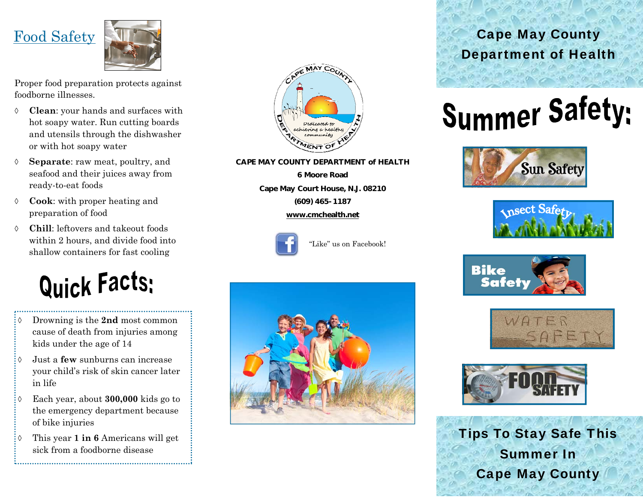

Proper food preparation protects against foodborne illnesses.

- $\Diamond$  **Clean**: your hands and surfaces with hot soapy water. Run cutting boards and utensils through the dishwasher or with hot soapy water
- $\Diamond$  **Separate**: raw meat, poultry, and seafood and their juices away from ready-to-eat foods
- ♦ **Cook**: with proper heating and preparation of food
- $\Diamond$  **Chill**: leftovers and takeout foods within 2 hours, and divide food into shallow containers for fast cooling

# **Quick Facts:**

- $\Diamond$  Drowning is the **2nd** most common cause of death from injuries among kids under the age of 14
- ♦. Just a **few** sunburns can increase your child's risk of skin cancer later in life
- $\Diamond$  Each year, about **300,000** kids go to the emergency department because of bike injuries
- $\Diamond$  This year **1 in 6** Americans will get sick from a foodborne disease



**CAPE MAY COUNTY DEPARTMENT of HEALTH** 

**6 Moore Road Cape May Court House, N.J. 08210 (609) 465-1187** 

**www.cmchealth.net**



```
"Like" us on Facebook!
```


# Cape May County Department of Health

# **Summer Safety:**











Tips To Stay Safe This Summer In Cape May County